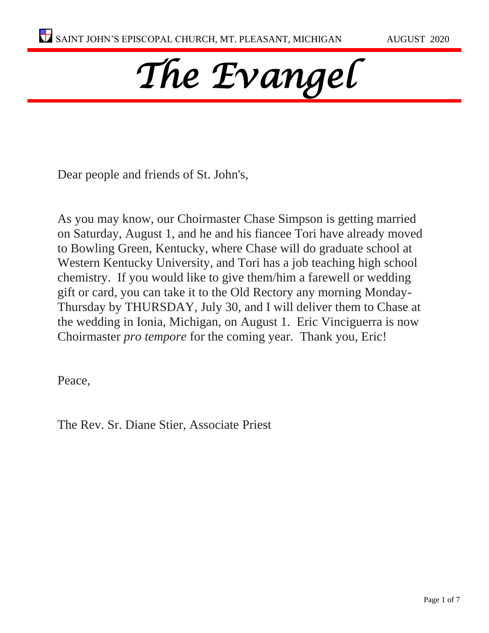# *The Evangel*

Dear people and friends of St. John's,

As you may know, our Choirmaster Chase Simpson is getting married on Saturday, August 1, and he and his fiancee Tori have already moved to Bowling Green, Kentucky, where Chase will do graduate school at Western Kentucky University, and Tori has a job teaching high school chemistry. If you would like to give them/him a farewell or wedding gift or card, you can take it to the Old Rectory any morning Monday-Thursday by THURSDAY, July 30, and I will deliver them to Chase at the wedding in Ionia, Michigan, on August 1. Eric Vinciguerra is now Choirmaster *pro tempore* for the coming year. Thank you, Eric!

Peace,

The Rev. Sr. Diane Stier, Associate Priest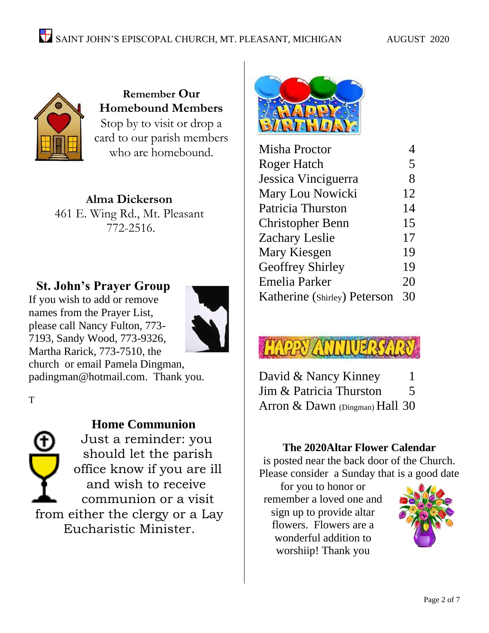

**Remember Our Homebound Members** Stop by to visit or drop a card to our parish members who are homebound.

**Alma Dickerson** 461 E. Wing Rd., Mt. Pleasant 772-2516.

# **St. John's Prayer Group**

If you wish to add or remove names from the Prayer List, please call Nancy Fulton, 773- 7193, Sandy Wood, 773-9326, Martha Rarick, 773-7510, the



church or email Pamela Dingman, [padingman@hotmail.com.](mailto:padingman@hotmail.com) Thank you.

T



# **Home Communion**

Just a reminder: you should let the parish office know if you are ill and wish to receive communion or a visit from either the clergy or a Lay Eucharistic Minister.



| Misha Proctor                |    |
|------------------------------|----|
| Roger Hatch                  | 5  |
| Jessica Vinciguerra          | 8  |
| Mary Lou Nowicki             | 12 |
| Patricia Thurston            | 14 |
| <b>Christopher Benn</b>      | 15 |
| <b>Zachary Leslie</b>        | 17 |
| Mary Kiesgen                 | 19 |
| <b>Geoffrey Shirley</b>      | 19 |
| Emelia Parker                | 20 |
| Katherine (Shirley) Peterson | 30 |

| David & Nancy Kinney             |   |
|----------------------------------|---|
| Jim & Patricia Thurston          | 5 |
| Arron & Dawn $(Dingman)$ Hall 30 |   |

## **The 2020Altar Flower Calendar**

is posted near the back door of the Church. Please consider a Sunday that is a good date

for you to honor or remember a loved one and sign up to provide altar flowers. Flowers are a wonderful addition to worshiip! Thank you

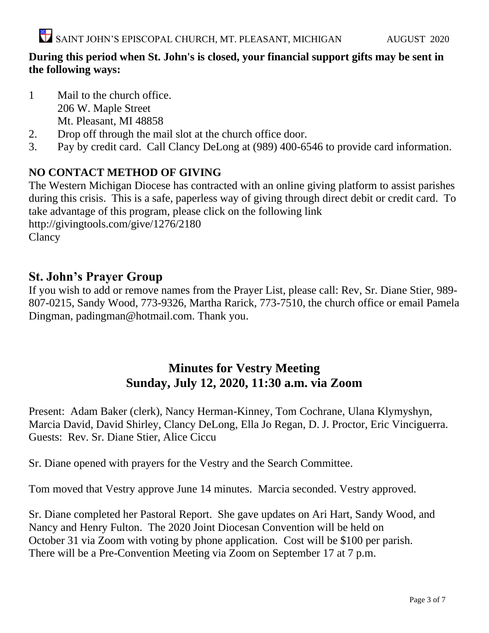## **During this period when St. John's is closed, your financial support gifts may be sent in the following ways:**

- 1 Mail to the church office. 206 W. Maple Street Mt. Pleasant, MI 48858
- 2. Drop off through the mail slot at the church office door.
- 3. Pay by credit card. Call Clancy DeLong at (989) 400-6546 to provide card information.

# **NO CONTACT METHOD OF GIVING**

The Western Michigan Diocese has contracted with an online giving platform to assist parishes during this crisis. This is a safe, paperless way of giving through direct debit or credit card. To take advantage of this program, please click on the following link <http://givingtools.com/give/1276/2180>

**Clancy** 

# **St. John's Prayer Group**

If you wish to add or remove names from the Prayer List, please call: Rev, Sr. Diane Stier, 989- 807-0215, Sandy Wood, 773-9326, Martha Rarick, 773-7510, the church office or email Pamela Dingman, padingman@hotmail.com. Thank you.

# **Minutes for Vestry Meeting Sunday, July 12, 2020, 11:30 a.m. via Zoom**

Present: Adam Baker (clerk), Nancy Herman-Kinney, Tom Cochrane, Ulana Klymyshyn, Marcia David, David Shirley, Clancy DeLong, Ella Jo Regan, D. J. Proctor, Eric Vinciguerra. Guests: Rev. Sr. Diane Stier, Alice Ciccu

Sr. Diane opened with prayers for the Vestry and the Search Committee.

Tom moved that Vestry approve June 14 minutes. Marcia seconded. Vestry approved.

Sr. Diane completed her Pastoral Report. She gave updates on Ari Hart, Sandy Wood, and Nancy and Henry Fulton. The 2020 Joint Diocesan Convention will be held on October 31 via Zoom with voting by phone application. Cost will be \$100 per parish. There will be a Pre-Convention Meeting via Zoom on September 17 at 7 p.m.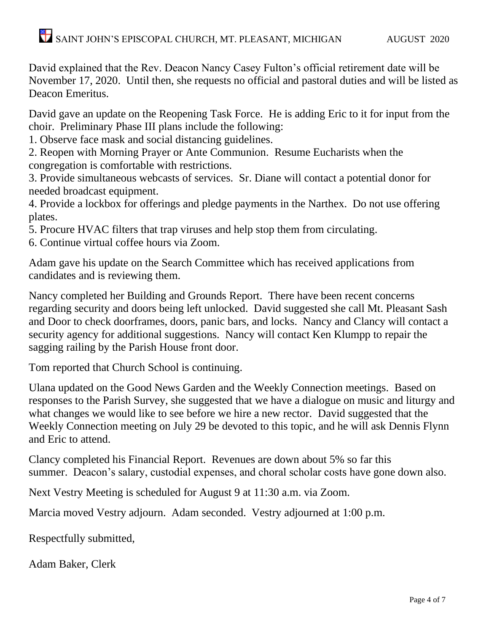# SAINT JOHN'S EPISCOPAL CHURCH, MT. PLEASANT, MICHIGAN AUGUST 2020

David explained that the Rev. Deacon Nancy Casey Fulton's official retirement date will be November 17, 2020. Until then, she requests no official and pastoral duties and will be listed as Deacon Emeritus.

David gave an update on the Reopening Task Force. He is adding Eric to it for input from the choir. Preliminary Phase III plans include the following:

1. Observe face mask and social distancing guidelines.

2. Reopen with Morning Prayer or Ante Communion. Resume Eucharists when the congregation is comfortable with restrictions.

3. Provide simultaneous webcasts of services. Sr. Diane will contact a potential donor for needed broadcast equipment.

4. Provide a lockbox for offerings and pledge payments in the Narthex. Do not use offering plates.

5. Procure HVAC filters that trap viruses and help stop them from circulating.

6. Continue virtual coffee hours via Zoom.

Adam gave his update on the Search Committee which has received applications from candidates and is reviewing them.

Nancy completed her Building and Grounds Report. There have been recent concerns regarding security and doors being left unlocked. David suggested she call Mt. Pleasant Sash and Door to check doorframes, doors, panic bars, and locks. Nancy and Clancy will contact a security agency for additional suggestions. Nancy will contact Ken Klumpp to repair the sagging railing by the Parish House front door.

Tom reported that Church School is continuing.

Ulana updated on the Good News Garden and the Weekly Connection meetings. Based on responses to the Parish Survey, she suggested that we have a dialogue on music and liturgy and what changes we would like to see before we hire a new rector. David suggested that the Weekly Connection meeting on July 29 be devoted to this topic, and he will ask Dennis Flynn and Eric to attend.

Clancy completed his Financial Report. Revenues are down about 5% so far this summer. Deacon's salary, custodial expenses, and choral scholar costs have gone down also.

Next Vestry Meeting is scheduled for August 9 at 11:30 a.m. via Zoom.

Marcia moved Vestry adjourn. Adam seconded. Vestry adjourned at 1:00 p.m.

Respectfully submitted,

Adam Baker, Clerk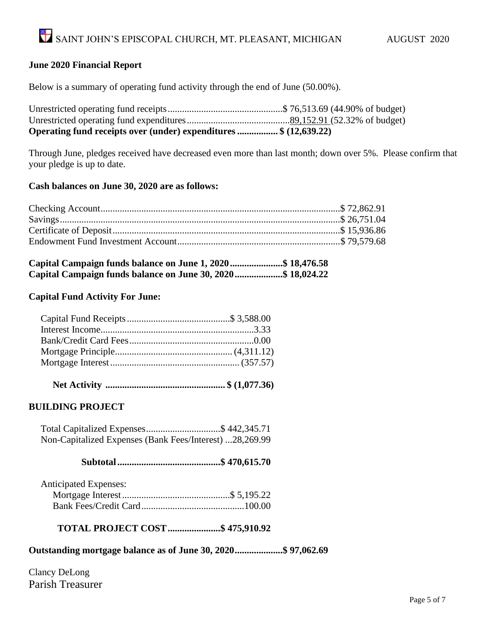#### **June 2020 Financial Report**

Below is a summary of operating fund activity through the end of June (50.00%).

| Operating fund receipts over (under) expenditures \$ (12,639.22) |  |
|------------------------------------------------------------------|--|
|                                                                  |  |
|                                                                  |  |

Through June, pledges received have decreased even more than last month; down over 5%. Please confirm that your pledge is up to date.

#### **Cash balances on June 30, 2020 are as follows:**

| Capital Campaign funds balance on June 1, 2020 \$ 18,476.58  |  |  |
|--------------------------------------------------------------|--|--|
| Capital Campaign funds balance on June 30, 2020 \$ 18,024.22 |  |  |

#### **Capital Fund Activity For June:**

|--|--|--|--|--|--|

#### **BUILDING PROJECT**

 Total Capitalized Expenses...............................\$ 442,345.71 Non-Capitalized Expenses (Bank Fees/Interest) ...28,269.99

## **Subtotal...........................................\$ 470,615.70**

| <b>Anticipated Expenses:</b> |  |
|------------------------------|--|
|                              |  |
|                              |  |

**TOTAL PROJECT COST......................\$ 475,910.92**

**Outstanding mortgage balance as of June 30, 2020....................\$ 97,062.69**

Clancy DeLong Parish Treasurer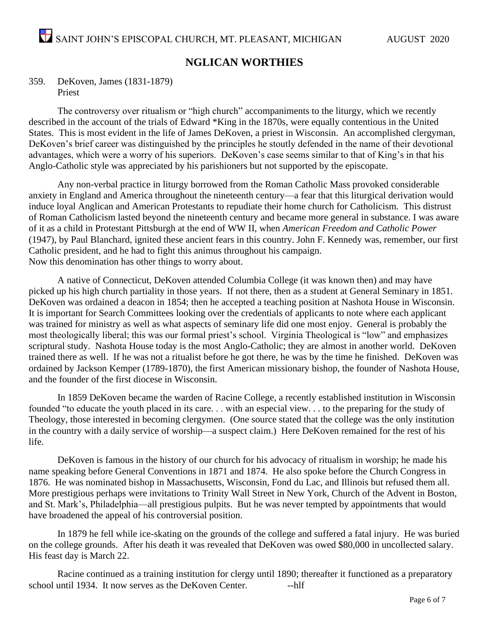#### **NGLICAN WORTHIES**

#### 359. DeKoven, James (1831-1879) Priest

The controversy over ritualism or "high church" accompaniments to the liturgy, which we recently described in the account of the trials of Edward \*King in the 1870s, were equally contentious in the United States. This is most evident in the life of James DeKoven, a priest in Wisconsin. An accomplished clergyman, DeKoven's brief career was distinguished by the principles he stoutly defended in the name of their devotional advantages, which were a worry of his superiors. DeKoven's case seems similar to that of King's in that his Anglo-Catholic style was appreciated by his parishioners but not supported by the episcopate.

Any non-verbal practice in liturgy borrowed from the Roman Catholic Mass provoked considerable anxiety in England and America throughout the nineteenth century—a fear that this liturgical derivation would induce loyal Anglican and American Protestants to repudiate their home church for Catholicism. This distrust of Roman Catholicism lasted beyond the nineteenth century and became more general in substance. I was aware of it as a child in Protestant Pittsburgh at the end of WW II, when *American Freedom and Catholic Power* (1947), by Paul Blanchard, ignited these ancient fears in this country. John F. Kennedy was, remember, our first Catholic president, and he had to fight this animus throughout his campaign. Now this denomination has other things to worry about.

A native of Connecticut, DeKoven attended Columbia College (it was known then) and may have picked up his high church partiality in those years. If not there, then as a student at General Seminary in 1851. DeKoven was ordained a deacon in 1854; then he accepted a teaching position at Nashota House in Wisconsin. It is important for Search Committees looking over the credentials of applicants to note where each applicant was trained for ministry as well as what aspects of seminary life did one most enjoy. General is probably the most theologically liberal; this was our formal priest's school. Virginia Theological is "low" and emphasizes scriptural study. Nashota House today is the most Anglo-Catholic; they are almost in another world. DeKoven trained there as well. If he was not a ritualist before he got there, he was by the time he finished. DeKoven was ordained by Jackson Kemper (1789-1870), the first American missionary bishop, the founder of Nashota House, and the founder of the first diocese in Wisconsin.

In 1859 DeKoven became the warden of Racine College, a recently established institution in Wisconsin founded "to educate the youth placed in its care. . . with an especial view. . . to the preparing for the study of Theology, those interested in becoming clergymen. (One source stated that the college was the only institution in the country with a daily service of worship—a suspect claim.) Here DeKoven remained for the rest of his life.

DeKoven is famous in the history of our church for his advocacy of ritualism in worship; he made his name speaking before General Conventions in 1871 and 1874. He also spoke before the Church Congress in 1876. He was nominated bishop in Massachusetts, Wisconsin, Fond du Lac, and Illinois but refused them all. More prestigious perhaps were invitations to Trinity Wall Street in New York, Church of the Advent in Boston, and St. Mark's, Philadelphia—all prestigious pulpits. But he was never tempted by appointments that would have broadened the appeal of his controversial position.

In 1879 he fell while ice-skating on the grounds of the college and suffered a fatal injury. He was buried on the college grounds. After his death it was revealed that DeKoven was owed \$80,000 in uncollected salary. His feast day is March 22.

Racine continued as a training institution for clergy until 1890; thereafter it functioned as a preparatory school until 1934. It now serves as the DeKoven Center. --------------------------